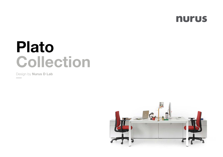

# Plato Collection

Design by **Nurus D Lab** 

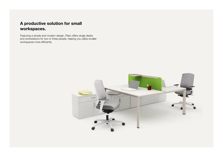# A productive solution for small workspaces.

Featuring a simple and modern design, Plato offers single desks and workstations for two or three people, helping you utilize smaller workspaces more efficiently.

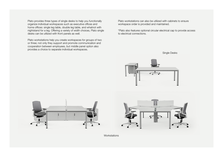Plato provides three types of single desks to help you functionally organize individual workspaces such as executive offices and home offices: single leg table, double leg table, and whatnot with nightstand for a leg. Offering a variety of width choices, Plato single desks can be utilized with front panels as well.

Plato workstations help you create workspaces for groups of two or three; not only they support and promote communication and cooperation between employees, but middle panel option also provides a choice to separate individual workspaces.

Plato workstations can also be utilized with cabinets to ensure workspace order is provided and maintained.

\*Plato also features optional circular electrical cap to provide access to electrical connections.



Single Desks





**Workstations**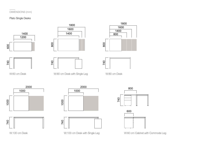### DIMENSIONS (mm)

#### Plato Single Desks



W:100 cm Desk

W:100 cm Desk with Single Leg W:60 cm Cabinet with Commode Leg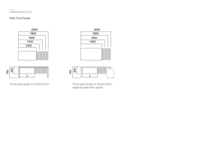# DIMENSIONS (mm)

#### Plato Front Panels









\*Front panel length for W:80/100cm \*Front panel length for W:80/100cm single leg desk with cabinet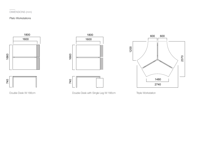# DIMENSIONS (mm)

#### Plato Workstations